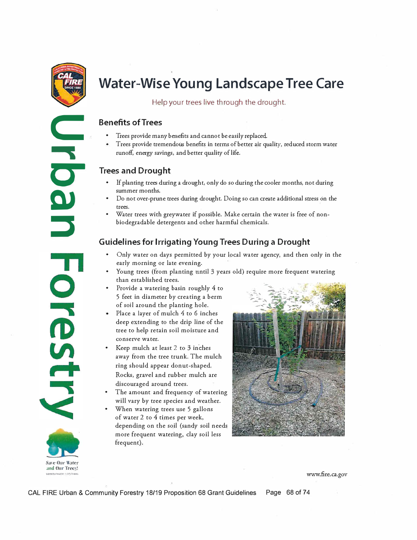

**C** 

� **c-**

**DJ** 

**::J** 

**Sare Our Water**  und Our Trees!

Orestr

# **Water-Wise Young Landscape Tree Care**

Help your trees live through the drought.

## **Benefits of Trees**

- Trees provide many benefits and cannot be easily replaced.
- Trees provide tremendous benefits in terms of better air quality, reduced storm water runoff, energy savings, and better quality of life.

## **Trees and Drought**

- If planting trees during a drought, only do so during the cooler months, not during summer months.
- Do not over-prune trees during drought. Doing so can create additional stress on the trees.
- Water trees with greywater if possible. Make certain the water is free of nonbiodegradable detergents and other harmful chemicals.

## **Guidelines for Irrigating Young Trees During a Drought**

- Only water on days permitted by your local water agency, and then only in the early morning or late evening.
- Young trees (from planting until 3 years old) require more frequent watering than established trees.
- Provide a watering basin roughly 4 to 5 feet in diameter by creating a berm of soil around the planting hole.
- Place a layer of mulch 4 to 6 inches deep extending to the drip line of the tree to help retain soil moisture and conserve water.
- Keep mulch at least 2 to 3 inches away from the tree trunk. The mulch ring should appear donut-shaped. Rocks, gravel and rubber mulch are discouraged around trees.
- The amount and frequency of watering will vary by tree species and weather.
- When watering trees use 5 gallons of water 2 to 4 times per week, depending on the soil (sandy soil needs more frequent watering, clay soil less frequent).



CAL FIRE Urban & Community Forestry 18/19 Proposition 68 Grant Guidelines Page 68 of 74

**:.&VIIO\ll"i',iJ:CfCO'n'rJQg:; WWW.fire.ca.gov**